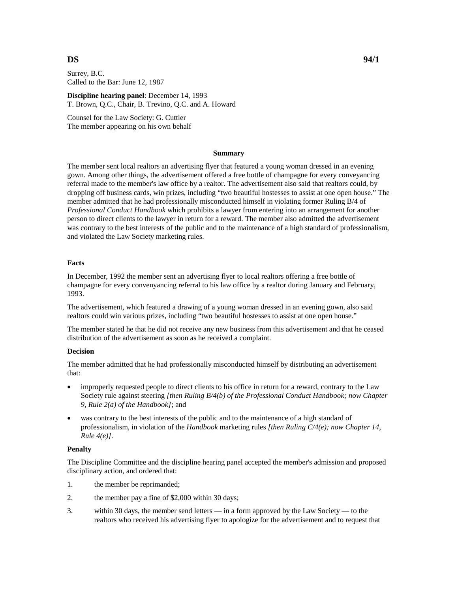Surrey, B.C. Called to the Bar: June 12, 1987

**Discipline hearing panel**: December 14, 1993 T. Brown, Q.C., Chair, B. Trevino, Q.C. and A. Howard

Counsel for the Law Society: G. Cuttler The member appearing on his own behalf

### **Summary**

The member sent local realtors an advertising flyer that featured a young woman dressed in an evening gown. Among other things, the advertisement offered a free bottle of champagne for every conveyancing referral made to the member's law office by a realtor. The advertisement also said that realtors could, by dropping off business cards, win prizes, including "two beautiful hostesses to assist at one open house." The member admitted that he had professionally misconducted himself in violating former Ruling B/4 of *Professional Conduct Handbook* which prohibits a lawyer from entering into an arrangement for another person to direct clients to the lawyer in return for a reward. The member also admitted the advertisement was contrary to the best interests of the public and to the maintenance of a high standard of professionalism, and violated the Law Society marketing rules.

# **Facts**

In December, 1992 the member sent an advertising flyer to local realtors offering a free bottle of champagne for every convenyancing referral to his law office by a realtor during January and February, 1993.

The advertisement, which featured a drawing of a young woman dressed in an evening gown, also said realtors could win various prizes, including "two beautiful hostesses to assist at one open house."

The member stated he that he did not receive any new business from this advertisement and that he ceased distribution of the advertisement as soon as he received a complaint.

# **Decision**

The member admitted that he had professionally misconducted himself by distributing an advertisement that:

- improperly requested people to direct clients to his office in return for a reward, contrary to the Law Society rule against steering *[then Ruling B/4(b) of the Professional Conduct Handbook; now Chapter 9, Rule 2(a) of the Handbook]*; and
- was contrary to the best interests of the public and to the maintenance of a high standard of professionalism, in violation of the *Handbook* marketing rules *[then Ruling C/4(e); now Chapter 14, Rule 4(e)].*

# **Penalty**

The Discipline Committee and the discipline hearing panel accepted the member's admission and proposed disciplinary action, and ordered that:

- 1. the member be reprimanded;
- 2. the member pay a fine of \$2,000 within 30 days;
- 3. within 30 days, the member send letters in a form approved by the Law Society to the realtors who received his advertising flyer to apologize for the advertisement and to request that